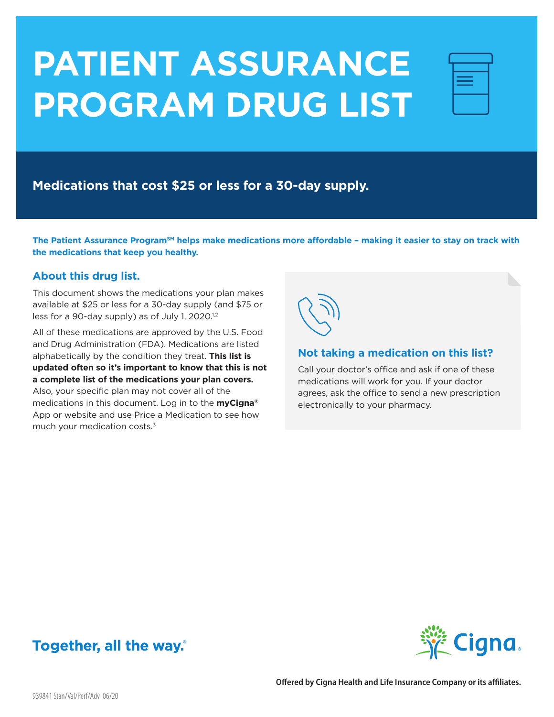# **PATIENT ASSURANCE PROGRAM DRUG LIST**

| <b>Service Service</b>                                                     |  |
|----------------------------------------------------------------------------|--|
| <b>Service Service Service Service Service</b>                             |  |
| _____<br><b>Service Service Service Service Service</b><br>________<br>___ |  |
|                                                                            |  |
|                                                                            |  |

**Medications that cost \$25 or less for a 30-day supply.** 

The Patient Assurance Program<sup>sM</sup> helps make medications more affordable - making it easier to stay on track with **the medications that keep you healthy.** 

## **About this drug list.**

This document shows the medications your plan makes available at \$25 or less for a 30-day supply (and \$75 or less for a 90-day supply) as of July 1, 2020.<sup>1,2</sup>

All of these medications are approved by the U.S. Food and Drug Administration (FDA). Medications are listed alphabetically by the condition they treat. **This list is updated often so it's important to know that this is not a complete list of the medications your plan covers.** 

Also, your specific plan may not cover all of the medications in this document. Log in to the **myCigna®** App or website and use Price a Medication to see how much your medication costs.3



### **Not taking a medication on this list?**

Call your doctor's office and ask if one of these medications will work for you. If your doctor agrees, ask the office to send a new prescription electronically to your pharmacy.